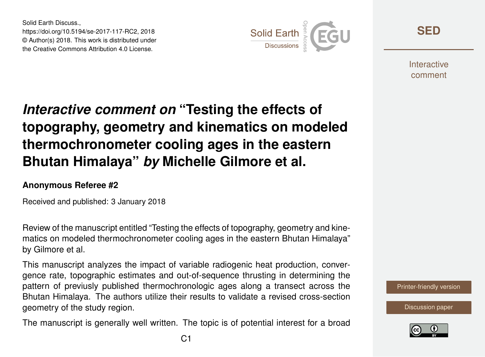Solid Earth Discuss., https://doi.org/10.5194/se-2017-117-RC2, 2018 © Author(s) 2018. This work is distributed under the Creative Commons Attribution 4.0 License.



**[SED](https://www.solid-earth-discuss.net/)**

**Interactive** comment

## *Interactive comment on* **"Testing the effects of topography, geometry and kinematics on modeled thermochronometer cooling ages in the eastern Bhutan Himalaya"** *by* **Michelle Gilmore et al.**

## **Anonymous Referee #2**

Received and published: 3 January 2018

Review of the manuscript entitled "Testing the effects of topography, geometry and kinematics on modeled thermochronometer cooling ages in the eastern Bhutan Himalaya" by Gilmore et al.

This manuscript analyzes the impact of variable radiogenic heat production, convergence rate, topographic estimates and out-of-sequence thrusting in determining the pattern of previusly published thermochronologic ages along a transect across the Bhutan Himalaya. The authors utilize their results to validate a revised cross-section geometry of the study region.

The manuscript is generally well written. The topic is of potential interest for a broad

[Printer-friendly version](https://www.solid-earth-discuss.net/se-2017-117/se-2017-117-RC2-print.pdf)

[Discussion paper](https://www.solid-earth-discuss.net/se-2017-117)

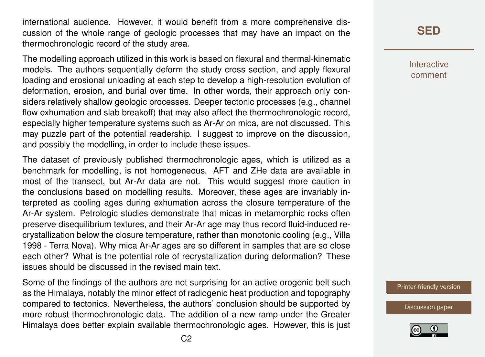international audience. However, it would benefit from a more comprehensive discussion of the whole range of geologic processes that may have an impact on the thermochronologic record of the study area.

The modelling approach utilized in this work is based on flexural and thermal-kinematic models. The authors sequentially deform the study cross section, and apply flexural loading and erosional unloading at each step to develop a high-resolution evolution of deformation, erosion, and burial over time. In other words, their approach only considers relatively shallow geologic processes. Deeper tectonic processes (e.g., channel flow exhumation and slab breakoff) that may also affect the thermochronologic record, especially higher temperature systems such as Ar-Ar on mica, are not discussed. This may puzzle part of the potential readership. I suggest to improve on the discussion, and possibly the modelling, in order to include these issues.

The dataset of previously published thermochronologic ages, which is utilized as a benchmark for modelling, is not homogeneous. AFT and ZHe data are available in most of the transect, but Ar-Ar data are not. This would suggest more caution in the conclusions based on modelling results. Moreover, these ages are invariably interpreted as cooling ages during exhumation across the closure temperature of the Ar-Ar system. Petrologic studies demonstrate that micas in metamorphic rocks often preserve disequilibrium textures, and their Ar-Ar age may thus record fluid-induced recrystallization below the closure temperature, rather than monotonic cooling (e.g., Villa 1998 - Terra Nova). Why mica Ar-Ar ages are so different in samples that are so close each other? What is the potential role of recrystallization during deformation? These issues should be discussed in the revised main text.

Some of the findings of the authors are not surprising for an active orogenic belt such as the Himalaya, notably the minor effect of radiogenic heat production and topography compared to tectonics. Nevertheless, the authors' conclusion should be supported by more robust thermochronologic data. The addition of a new ramp under the Greater Himalaya does better explain available thermochronologic ages. However, this is just **[SED](https://www.solid-earth-discuss.net/)**

Interactive comment

[Printer-friendly version](https://www.solid-earth-discuss.net/se-2017-117/se-2017-117-RC2-print.pdf)

[Discussion paper](https://www.solid-earth-discuss.net/se-2017-117)